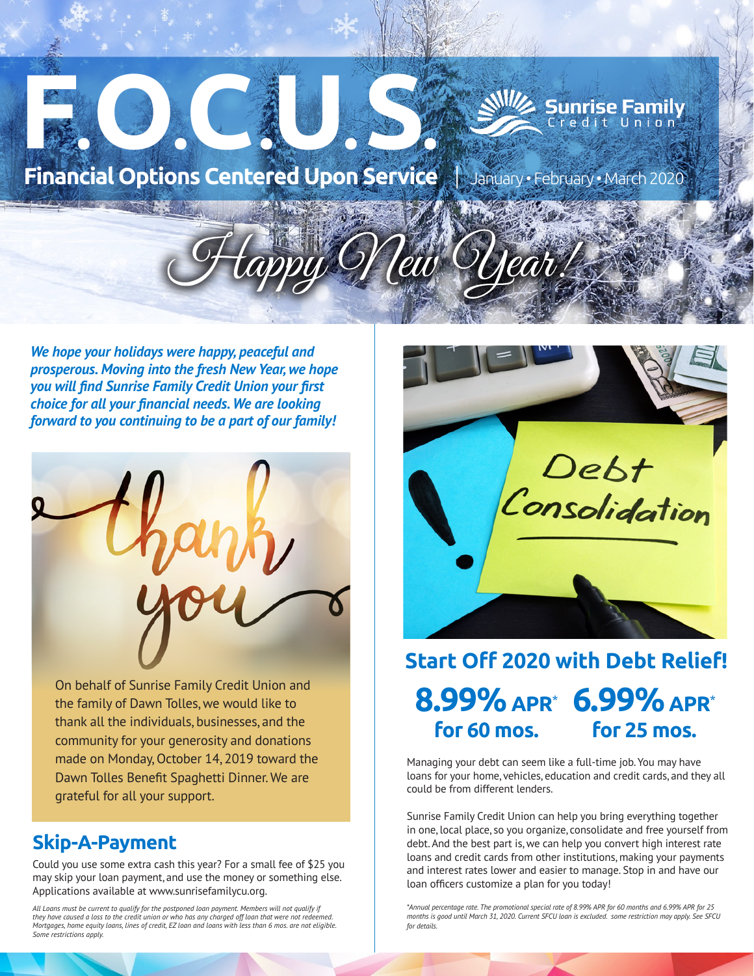

*We hope your holidays were happy, peaceful and prosperous. Moving into the fresh New Year, we hope you will find Sunrise Family Credit Union your first choice for all your financial needs. We are looking forward to you continuing to be a part of our family!*



On behalf of Sunrise Family Credit Union and the family of Dawn Tolles, we would like to thank all the individuals, businesses, and the community for your generosity and donations made on Monday, October 14, 2019 toward the Dawn Tolles Benefit Spaghetti Dinner. We are grateful for all your support.

## **Skip-A-Payment**

Could you use some extra cash this year? For a small fee of \$25 you may skip your loan payment, and use the money or something else. Applications available at www.sunrisefamilycu.org.

*All Loans must be current to qualify for the postponed loan payment. Members will not qualify if*  they have caused a loss to the credit union or who has any charged off loan that were not red *Mortgages, home equity loans, lines of credit, EZ loan and loans with less than 6 mos. are not eligible. Some restrictions apply.*



## **8.99% APR**\* **6.99% APR**\* **for 60 mos. for 25 mos. Start Off 2020 with Debt Relief!**

Managing your debt can seem like a full-time job. You may have loans for your home, vehicles, education and credit cards, and they all could be from different lenders.

Sunrise Family Credit Union can help you bring everything together in one, local place, so you organize, consolidate and free yourself from debt. And the best part is, we can help you convert high interest rate loans and credit cards from other institutions, making your payments and interest rates lower and easier to manage. Stop in and have our loan officers customize a plan for you today!

*\*Annual percentage rate. The promotional special rate of 8.99% APR for 60 months and 6.99% APR for 25 months is good until March 31, 2020. Current SFCU loan is excluded. some restriction may apply. See SFCU for details.*